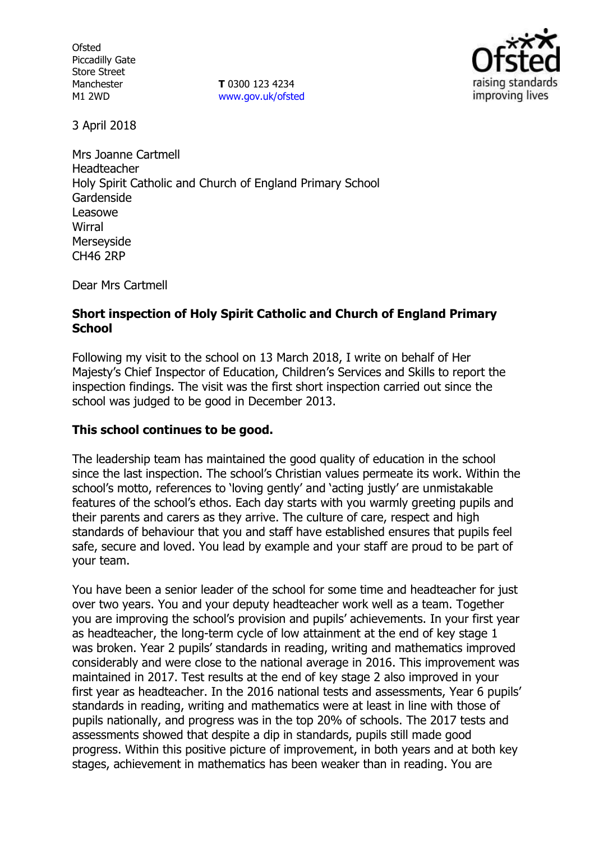**Ofsted** Piccadilly Gate Store Street Manchester M1 2WD

**T** 0300 123 4234 www.gov.uk/ofsted



3 April 2018

Mrs Joanne Cartmell Headteacher Holy Spirit Catholic and Church of England Primary School Gardenside Leasowe **Wirral** Merseyside CH46 2RP

Dear Mrs Cartmell

### **Short inspection of Holy Spirit Catholic and Church of England Primary School**

Following my visit to the school on 13 March 2018, I write on behalf of Her Majesty's Chief Inspector of Education, Children's Services and Skills to report the inspection findings. The visit was the first short inspection carried out since the school was judged to be good in December 2013.

### **This school continues to be good.**

The leadership team has maintained the good quality of education in the school since the last inspection. The school's Christian values permeate its work. Within the school's motto, references to 'loving gently' and 'acting justly' are unmistakable features of the school's ethos. Each day starts with you warmly greeting pupils and their parents and carers as they arrive. The culture of care, respect and high standards of behaviour that you and staff have established ensures that pupils feel safe, secure and loved. You lead by example and your staff are proud to be part of your team.

You have been a senior leader of the school for some time and headteacher for just over two years. You and your deputy headteacher work well as a team. Together you are improving the school's provision and pupils' achievements. In your first year as headteacher, the long-term cycle of low attainment at the end of key stage 1 was broken. Year 2 pupils' standards in reading, writing and mathematics improved considerably and were close to the national average in 2016. This improvement was maintained in 2017. Test results at the end of key stage 2 also improved in your first year as headteacher. In the 2016 national tests and assessments, Year 6 pupils' standards in reading, writing and mathematics were at least in line with those of pupils nationally, and progress was in the top 20% of schools. The 2017 tests and assessments showed that despite a dip in standards, pupils still made good progress. Within this positive picture of improvement, in both years and at both key stages, achievement in mathematics has been weaker than in reading. You are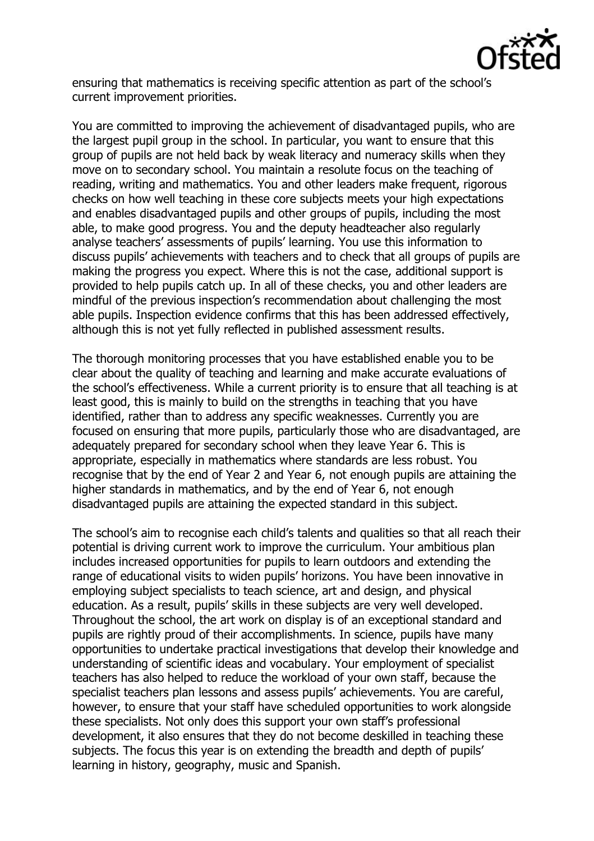

ensuring that mathematics is receiving specific attention as part of the school's current improvement priorities.

You are committed to improving the achievement of disadvantaged pupils, who are the largest pupil group in the school. In particular, you want to ensure that this group of pupils are not held back by weak literacy and numeracy skills when they move on to secondary school. You maintain a resolute focus on the teaching of reading, writing and mathematics. You and other leaders make frequent, rigorous checks on how well teaching in these core subjects meets your high expectations and enables disadvantaged pupils and other groups of pupils, including the most able, to make good progress. You and the deputy headteacher also regularly analyse teachers' assessments of pupils' learning. You use this information to discuss pupils' achievements with teachers and to check that all groups of pupils are making the progress you expect. Where this is not the case, additional support is provided to help pupils catch up. In all of these checks, you and other leaders are mindful of the previous inspection's recommendation about challenging the most able pupils. Inspection evidence confirms that this has been addressed effectively, although this is not yet fully reflected in published assessment results.

The thorough monitoring processes that you have established enable you to be clear about the quality of teaching and learning and make accurate evaluations of the school's effectiveness. While a current priority is to ensure that all teaching is at least good, this is mainly to build on the strengths in teaching that you have identified, rather than to address any specific weaknesses. Currently you are focused on ensuring that more pupils, particularly those who are disadvantaged, are adequately prepared for secondary school when they leave Year 6. This is appropriate, especially in mathematics where standards are less robust. You recognise that by the end of Year 2 and Year 6, not enough pupils are attaining the higher standards in mathematics, and by the end of Year 6, not enough disadvantaged pupils are attaining the expected standard in this subject.

The school's aim to recognise each child's talents and qualities so that all reach their potential is driving current work to improve the curriculum. Your ambitious plan includes increased opportunities for pupils to learn outdoors and extending the range of educational visits to widen pupils' horizons. You have been innovative in employing subject specialists to teach science, art and design, and physical education. As a result, pupils' skills in these subjects are very well developed. Throughout the school, the art work on display is of an exceptional standard and pupils are rightly proud of their accomplishments. In science, pupils have many opportunities to undertake practical investigations that develop their knowledge and understanding of scientific ideas and vocabulary. Your employment of specialist teachers has also helped to reduce the workload of your own staff, because the specialist teachers plan lessons and assess pupils' achievements. You are careful, however, to ensure that your staff have scheduled opportunities to work alongside these specialists. Not only does this support your own staff's professional development, it also ensures that they do not become deskilled in teaching these subjects. The focus this year is on extending the breadth and depth of pupils' learning in history, geography, music and Spanish.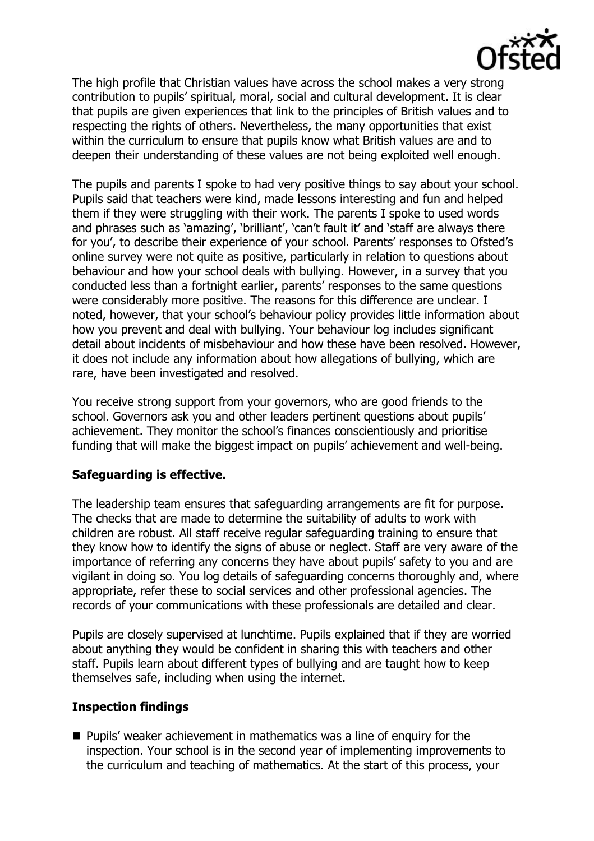

The high profile that Christian values have across the school makes a very strong contribution to pupils' spiritual, moral, social and cultural development. It is clear that pupils are given experiences that link to the principles of British values and to respecting the rights of others. Nevertheless, the many opportunities that exist within the curriculum to ensure that pupils know what British values are and to deepen their understanding of these values are not being exploited well enough.

The pupils and parents I spoke to had very positive things to say about your school. Pupils said that teachers were kind, made lessons interesting and fun and helped them if they were struggling with their work. The parents I spoke to used words and phrases such as 'amazing', 'brilliant', 'can't fault it' and 'staff are always there for you', to describe their experience of your school. Parents' responses to Ofsted's online survey were not quite as positive, particularly in relation to questions about behaviour and how your school deals with bullying. However, in a survey that you conducted less than a fortnight earlier, parents' responses to the same questions were considerably more positive. The reasons for this difference are unclear. I noted, however, that your school's behaviour policy provides little information about how you prevent and deal with bullying. Your behaviour log includes significant detail about incidents of misbehaviour and how these have been resolved. However, it does not include any information about how allegations of bullying, which are rare, have been investigated and resolved.

You receive strong support from your governors, who are good friends to the school. Governors ask you and other leaders pertinent questions about pupils' achievement. They monitor the school's finances conscientiously and prioritise funding that will make the biggest impact on pupils' achievement and well-being.

# **Safeguarding is effective.**

The leadership team ensures that safeguarding arrangements are fit for purpose. The checks that are made to determine the suitability of adults to work with children are robust. All staff receive regular safeguarding training to ensure that they know how to identify the signs of abuse or neglect. Staff are very aware of the importance of referring any concerns they have about pupils' safety to you and are vigilant in doing so. You log details of safeguarding concerns thoroughly and, where appropriate, refer these to social services and other professional agencies. The records of your communications with these professionals are detailed and clear.

Pupils are closely supervised at lunchtime. Pupils explained that if they are worried about anything they would be confident in sharing this with teachers and other staff. Pupils learn about different types of bullying and are taught how to keep themselves safe, including when using the internet.

### **Inspection findings**

 $\blacksquare$  Pupils' weaker achievement in mathematics was a line of enguiry for the inspection. Your school is in the second year of implementing improvements to the curriculum and teaching of mathematics. At the start of this process, your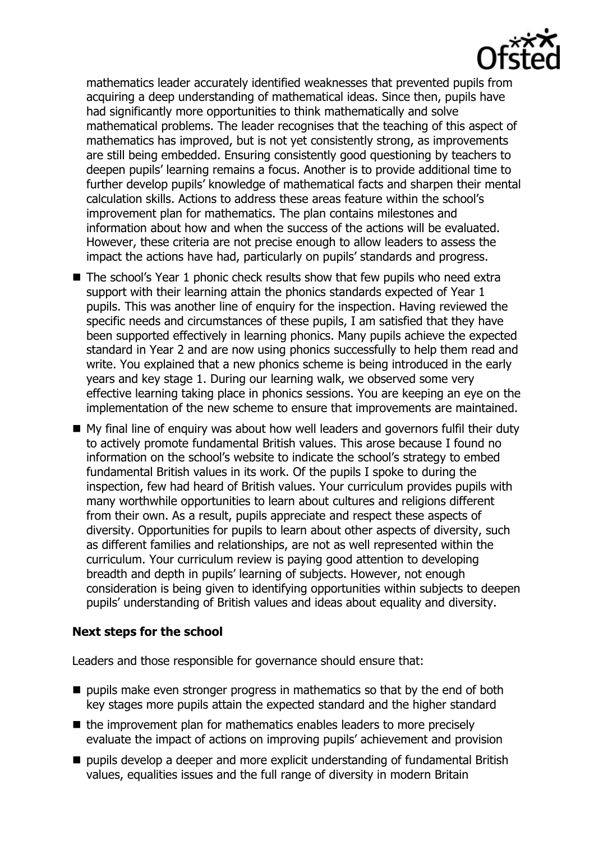

mathematics leader accurately identified weaknesses that prevented pupils from acquiring a deep understanding of mathematical ideas. Since then, pupils have had significantly more opportunities to think mathematically and solve mathematical problems. The leader recognises that the teaching of this aspect of mathematics has improved, but is not yet consistently strong, as improvements are still being embedded. Ensuring consistently good questioning by teachers to deepen pupils' learning remains a focus. Another is to provide additional time to further develop pupils' knowledge of mathematical facts and sharpen their mental calculation skills. Actions to address these areas feature within the school's improvement plan for mathematics. The plan contains milestones and information about how and when the success of the actions will be evaluated. However, these criteria are not precise enough to allow leaders to assess the impact the actions have had, particularly on pupils' standards and progress.

- The school's Year 1 phonic check results show that few pupils who need extra support with their learning attain the phonics standards expected of Year 1 pupils. This was another line of enquiry for the inspection. Having reviewed the specific needs and circumstances of these pupils, I am satisfied that they have been supported effectively in learning phonics. Many pupils achieve the expected standard in Year 2 and are now using phonics successfully to help them read and write. You explained that a new phonics scheme is being introduced in the early years and key stage 1. During our learning walk, we observed some very effective learning taking place in phonics sessions. You are keeping an eye on the implementation of the new scheme to ensure that improvements are maintained.
- My final line of enquiry was about how well leaders and governors fulfil their duty to actively promote fundamental British values. This arose because I found no information on the school's website to indicate the school's strategy to embed fundamental British values in its work. Of the pupils I spoke to during the inspection, few had heard of British values. Your curriculum provides pupils with many worthwhile opportunities to learn about cultures and religions different from their own. As a result, pupils appreciate and respect these aspects of diversity. Opportunities for pupils to learn about other aspects of diversity, such as different families and relationships, are not as well represented within the curriculum. Your curriculum review is paying good attention to developing breadth and depth in pupils' learning of subjects. However, not enough consideration is being given to identifying opportunities within subjects to deepen pupils' understanding of British values and ideas about equality and diversity.

### **Next steps for the school**

Leaders and those responsible for governance should ensure that:

- $\blacksquare$  pupils make even stronger progress in mathematics so that by the end of both key stages more pupils attain the expected standard and the higher standard
- $\blacksquare$  the improvement plan for mathematics enables leaders to more precisely evaluate the impact of actions on improving pupils' achievement and provision
- pupils develop a deeper and more explicit understanding of fundamental British values, equalities issues and the full range of diversity in modern Britain